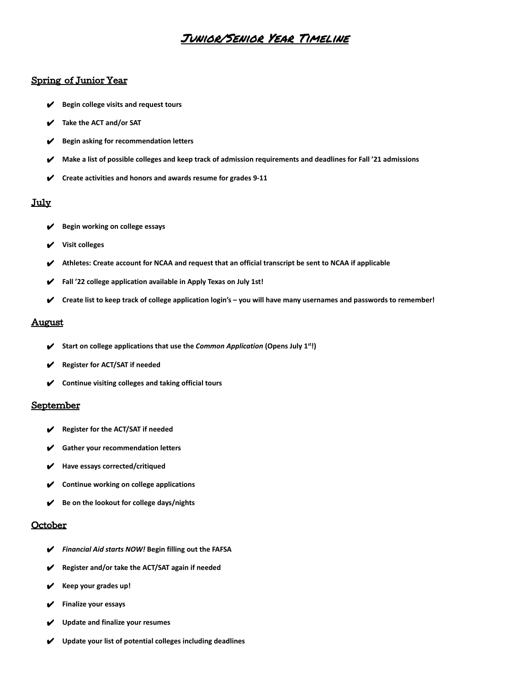# Junior/Senior Year Timeline

#### Spring of Junior Year

- ✔ **Begin college visits and request tours**
- ✔ **Take the ACT and/or SAT**
- ✔ **Begin asking for recommendation letters**
- ✔ **Make a list of possible colleges and keep track of admission requirements and deadlines for Fall '21 admissions**
- ✔ **Create activities and honors and awards resume for grades 9-11**

### July

- ✔ **Begin working on college essays**
- ✔ **Visit colleges**
- ✔ **Athletes: Create account for NCAA and request that an official transcript be sent to NCAA if applicable**
- ✔ **Fall '22 college application available in Apply Texas on July 1st!**
- ✔ **Create list to keep track of college application login's you will have many usernames and passwords to remember!**

#### August

- ✔ **Start on college applications that use the** *Common Application* **(Opens July 1st !)**
- ✔ **Register for ACT/SAT if needed**
- ✔ **Continue visiting colleges and taking official tours**

### September

- ✔ **Register for the ACT/SAT if needed**
- ✔ **Gather your recommendation letters**
- ✔ **Have essays corrected/critiqued**
- ✔ **Continue working on college applications**
- ✔ **Be on the lookout for college days/nights**

#### October

- ✔ *Financial Aid starts NOW!* **Begin filling out the FAFSA**
- ✔ **Register and/or take the ACT/SAT again if needed**
- ✔ **Keep your grades up!**
- ✔ **Finalize your essays**
- ✔ **Update and finalize your resumes**
- ✔ **Update your list of potential colleges including deadlines**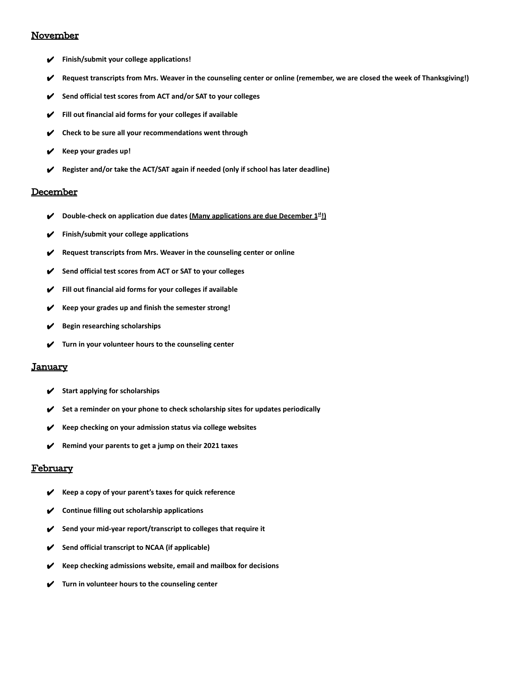### **November**

- ✔ **Finish/submit your college applications!**
- ✔ **Request transcripts from Mrs. Weaver in the counseling center or online (remember, we are closed the week of Thanksgiving!)**
- ✔ **Send official test scores from ACT and/or SAT to your colleges**
- ✔ **Fill out financial aid forms for your colleges if available**
- ✔ **Check to be sure all your recommendations went through**
- ✔ **Keep your grades up!**
- ✔ **Register and/or take the ACT/SAT again if needed (only if school has later deadline)**

#### **December**

- ✔ **Double-check on application due dates (Many applications are due December 1st !)**
- ✔ **Finish/submit your college applications**
- **Request transcripts from Mrs. Weaver in the counseling center or online**
- ✔ **Send official test scores from ACT or SAT to your colleges**
- ✔ **Fill out financial aid forms for your colleges if available**
- ✔ **Keep your grades up and finish the semester strong!**
- ✔ **Begin researching scholarships**
- ✔ **Turn in your volunteer hours to the counseling center**

#### **January**

- ✔ **Start applying for scholarships**
- ✔ **Set a reminder on your phone to check scholarship sites for updates periodically**
- ✔ **Keep checking on your admission status via college websites**
- ✔ **Remind your parents to get a jump on their 2021 taxes**

#### February

- ✔ **Keep a copy of your parent's taxes for quick reference**
- ✔ **Continue filling out scholarship applications**
- ✔ **Send your mid-year report/transcript to colleges that require it**
- ✔ **Send official transcript to NCAA (if applicable)**
- ✔ **Keep checking admissions website, email and mailbox for decisions**
- ✔ **Turn in volunteer hours to the counseling center**